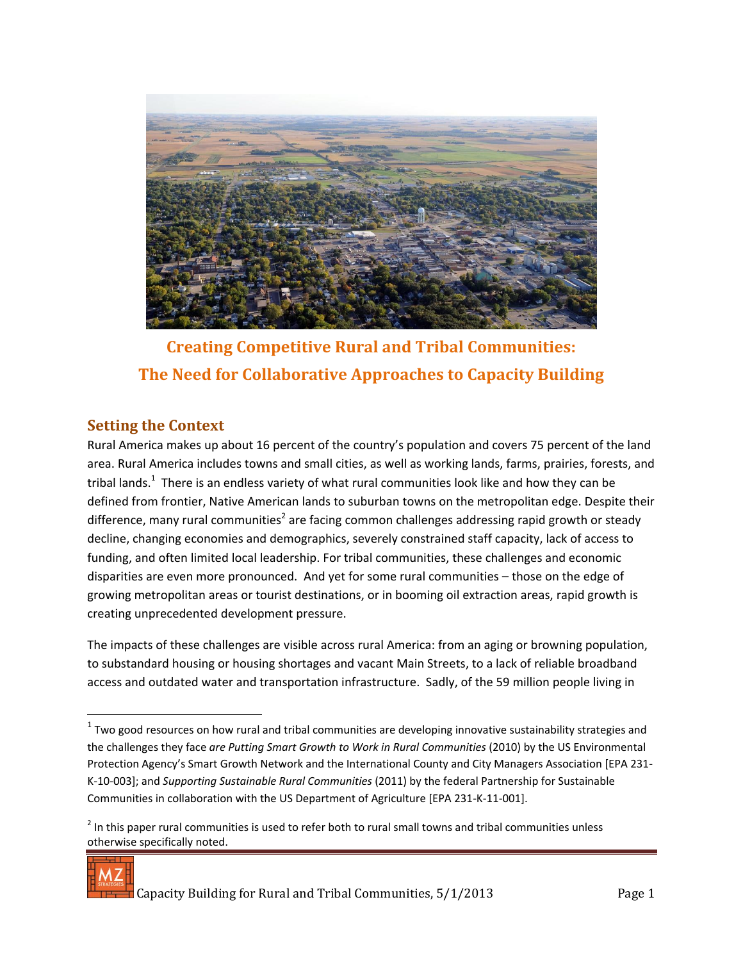

**Creating Competitive Rural and Tribal Communities: The Need for Collaborative Approaches to Capacity Building**

### **Setting the Context**

Rural America makes up about 16 percent of the country's population and covers 75 percent of the land area. Rural America includes towns and small cities, as well as working lands, farms, prairies, forests, and tribal lands.<sup>1</sup> There is an endless variety of what rural communities look like and how they can be defined from frontier, Native American lands to suburban towns on the metropolitan edge. Despite their difference, many rural communities<sup>2</sup> are facing common challenges addressing rapid growth or steady decline, changing economies and demographics, severely constrained staff capacity, lack of access to funding, and often limited local leadership. For tribal communities, these challenges and economic disparities are even more pronounced. And yet for some rural communities – those on the edge of growing metropolitan areas or tourist destinations, or in booming oil extraction areas, rapid growth is creating unprecedented development pressure.

The impacts of these challenges are visible across rural America: from an aging or browning population, to substandard housing or housing shortages and vacant Main Streets, to a lack of reliable broadband access and outdated water and transportation infrastructure. Sadly, of the 59 million people living in

 $2$  In this paper rural communities is used to refer both to rural small towns and tribal communities unless otherwise specifically noted.



 $\overline{a}$ 

 $1$  Two good resources on how rural and tribal communities are developing innovative sustainability strategies and the challenges they face *are Putting Smart Growth to Work in Rural Communities* (2010) by the US Environmental Protection Agency's Smart Growth Network and the International County and City Managers Association [EPA 231- K-10-003]; and *Supporting Sustainable Rural Communities* (2011) by the federal Partnership for Sustainable Communities in collaboration with the US Department of Agriculture [EPA 231-K-11-001].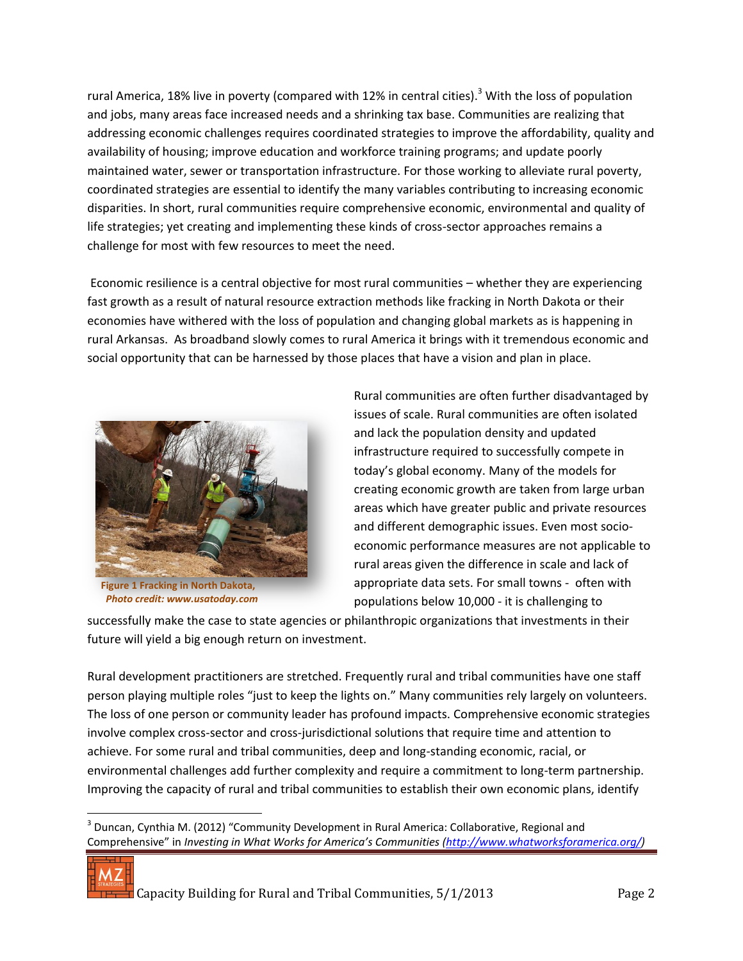rural America, 18% live in poverty (compared with 12% in central cities).<sup>3</sup> With the loss of population and jobs, many areas face increased needs and a shrinking tax base. Communities are realizing that addressing economic challenges requires coordinated strategies to improve the affordability, quality and availability of housing; improve education and workforce training programs; and update poorly maintained water, sewer or transportation infrastructure. For those working to alleviate rural poverty, coordinated strategies are essential to identify the many variables contributing to increasing economic disparities. In short, rural communities require comprehensive economic, environmental and quality of life strategies; yet creating and implementing these kinds of cross-sector approaches remains a challenge for most with few resources to meet the need.

Economic resilience is a central objective for most rural communities – whether they are experiencing fast growth as a result of natural resource extraction methods like fracking in North Dakota or their economies have withered with the loss of population and changing global markets as is happening in rural Arkansas. As broadband slowly comes to rural America it brings with it tremendous economic and social opportunity that can be harnessed by those places that have a vision and plan in place.



*Photo credit: www.usatoday.com*

Rural communities are often further disadvantaged by issues of scale. Rural communities are often isolated and lack the population density and updated infrastructure required to successfully compete in today's global economy. Many of the models for creating economic growth are taken from large urban areas which have greater public and private resources and different demographic issues. Even most socioeconomic performance measures are not applicable to rural areas given the difference in scale and lack of appropriate data sets. For small towns - often with populations below 10,000 - it is challenging to

successfully make the case to state agencies or philanthropic organizations that investments in their future will yield a big enough return on investment.

Rural development practitioners are stretched. Frequently rural and tribal communities have one staff person playing multiple roles "just to keep the lights on." Many communities rely largely on volunteers. The loss of one person or community leader has profound impacts. Comprehensive economic strategies involve complex cross-sector and cross-jurisdictional solutions that require time and attention to achieve. For some rural and tribal communities, deep and long-standing economic, racial, or environmental challenges add further complexity and require a commitment to long-term partnership. Improving the capacity of rural and tribal communities to establish their own economic plans, identify

 $3$  Duncan, Cynthia M. (2012) "Community Development in Rural America: Collaborative, Regional and Comprehensive" in *Investing in What Works for America's Communities ([http://www.whatworksforamerica.org/\)](http://www.whatworksforamerica.org/)* 



 $\overline{a}$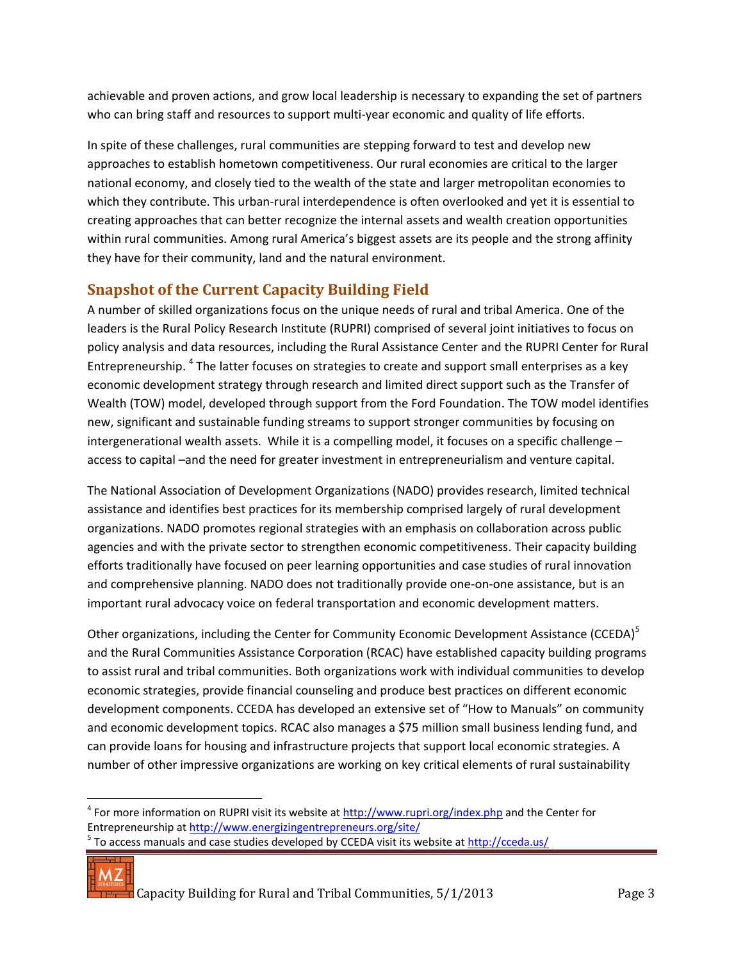achievable and proven actions, and grow local leadership is necessary to expanding the set of partners who can bring staff and resources to support multi-year economic and quality of life efforts.

In spite of these challenges, rural communities are stepping forward to test and develop new approaches to establish hometown competitiveness. Our rural economies are critical to the larger national economy, and closely tied to the wealth of the state and larger metropolitan economies to which they contribute. This urban-rural interdependence is often overlooked and yet it is essential to creating approaches that can better recognize the internal assets and wealth creation opportunities within rural communities. Among rural America's biggest assets are its people and the strong affinity they have for their community, land and the natural environment.

## **Snapshot of the Current Capacity Building Field**

A number of skilled organizations focus on the unique needs of rural and tribal America. One of the leaders is the Rural Policy Research Institute (RUPRI) comprised of several joint initiatives to focus on policy analysis and data resources, including the Rural Assistance Center and the RUPRI Center for Rural Entrepreneurship. <sup>4</sup> The latter focuses on strategies to create and support small enterprises as a key economic development strategy through research and limited direct support such as the Transfer of Wealth (TOW) model, developed through support from the Ford Foundation. The TOW model identifies new, significant and sustainable funding streams to support stronger communities by focusing on intergenerational wealth assets. While it is a compelling model, it focuses on a specific challenge – access to capital –and the need for greater investment in entrepreneurialism and venture capital.

The National Association of Development Organizations (NADO) provides research, limited technical assistance and identifies best practices for its membership comprised largely of rural development organizations. NADO promotes regional strategies with an emphasis on collaboration across public agencies and with the private sector to strengthen economic competitiveness. Their capacity building efforts traditionally have focused on peer learning opportunities and case studies of rural innovation and comprehensive planning. NADO does not traditionally provide one-on-one assistance, but is an important rural advocacy voice on federal transportation and economic development matters.

Other organizations, including the Center for Community Economic Development Assistance (CCEDA)<sup>5</sup> and the Rural Communities Assistance Corporation (RCAC) have established capacity building programs to assist rural and tribal communities. Both organizations work with individual communities to develop economic strategies, provide financial counseling and produce best practices on different economic development components. CCEDA has developed an extensive set of "How to Manuals" on community and economic development topics. RCAC also manages a \$75 million small business lending fund, and can provide loans for housing and infrastructure projects that support local economic strategies. A number of other impressive organizations are working on key critical elements of rural sustainability

5 To access manuals and case studies developed by CCEDA visit its website a[t http://cceda.us/](http://cceda.us/)



Capacity Building for Rural and Tribal Communities, 5/1/2013 Page 3

 $\overline{\phantom{a}}$ <sup>4</sup> For more information on RUPRI visit its website a[t http://www.rupri.org/index.php](http://www.rupri.org/index.php) and the Center for Entrepreneurship at<http://www.energizingentrepreneurs.org/site/>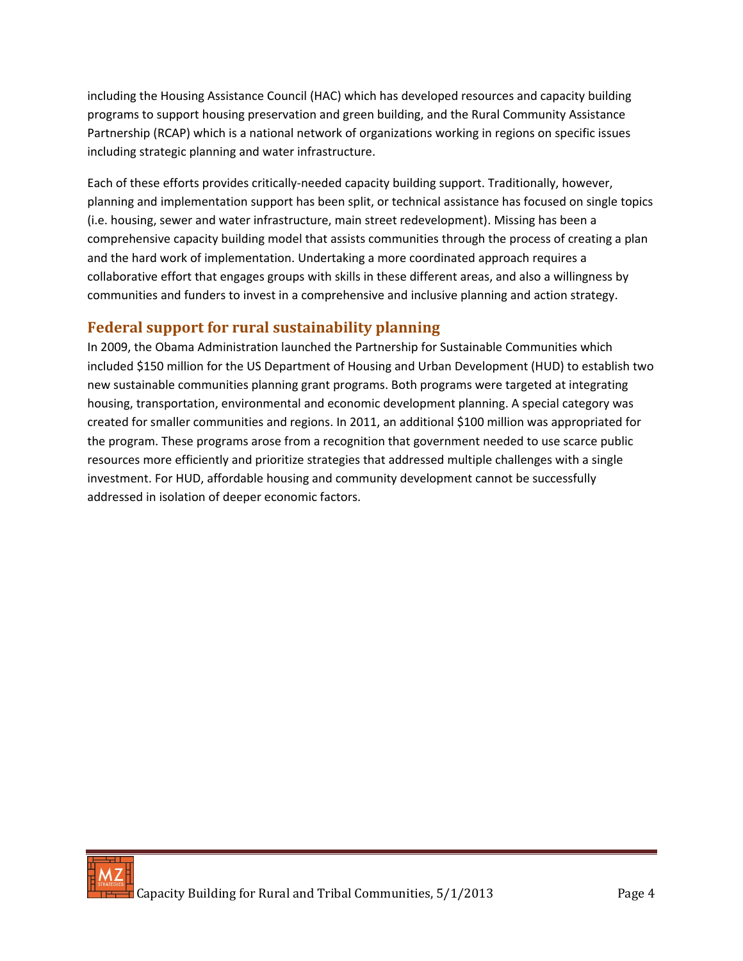including the Housing Assistance Council (HAC) which has developed resources and capacity building programs to support housing preservation and green building, and the Rural Community Assistance Partnership (RCAP) which is a national network of organizations working in regions on specific issues including strategic planning and water infrastructure.

Each of these efforts provides critically-needed capacity building support. Traditionally, however, planning and implementation support has been split, or technical assistance has focused on single topics (i.e. housing, sewer and water infrastructure, main street redevelopment). Missing has been a comprehensive capacity building model that assists communities through the process of creating a plan and the hard work of implementation. Undertaking a more coordinated approach requires a collaborative effort that engages groups with skills in these different areas, and also a willingness by communities and funders to invest in a comprehensive and inclusive planning and action strategy.

### **Federal support for rural sustainability planning**

In 2009, the Obama Administration launched the Partnership for Sustainable Communities which included \$150 million for the US Department of Housing and Urban Development (HUD) to establish two new sustainable communities planning grant programs. Both programs were targeted at integrating housing, transportation, environmental and economic development planning. A special category was created for smaller communities and regions. In 2011, an additional \$100 million was appropriated for the program. These programs arose from a recognition that government needed to use scarce public resources more efficiently and prioritize strategies that addressed multiple challenges with a single investment. For HUD, affordable housing and community development cannot be successfully addressed in isolation of deeper economic factors.

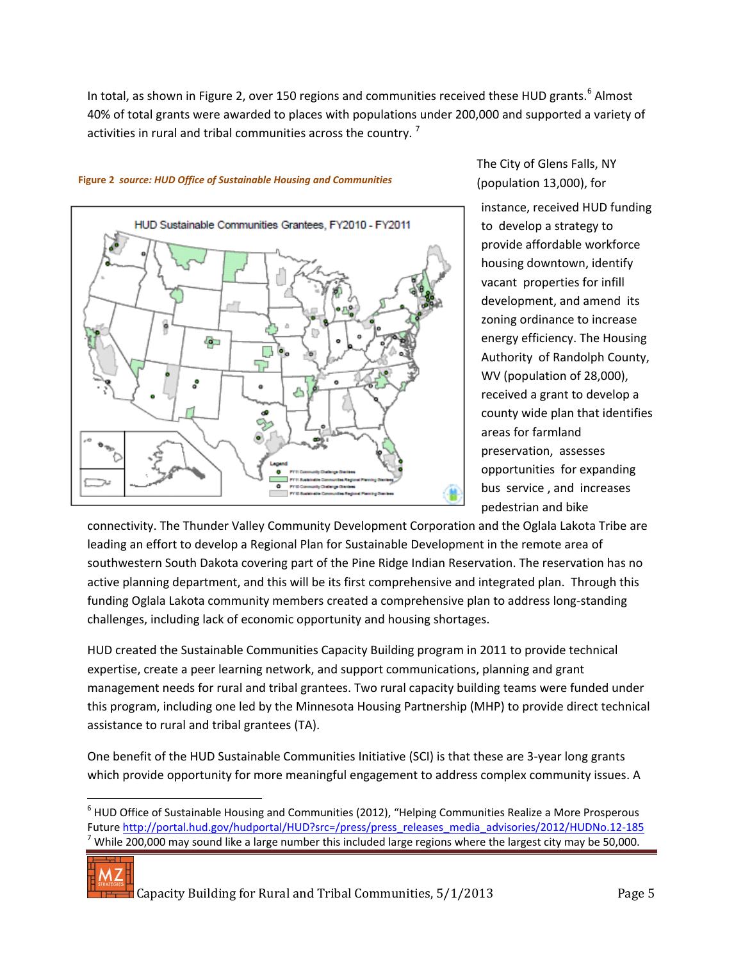In total, as shown in Figure 2, over 150 regions and communities received these HUD grants.<sup>6</sup> Almost 40% of total grants were awarded to places with populations under 200,000 and supported a variety of activities in rural and tribal communities across the country.<sup>7</sup>



#### **Figure 2** *source: HUD Office of Sustainable Housing and Communities*

The City of Glens Falls, NY (population 13,000), for

instance, received HUD funding to develop a strategy to provide affordable workforce housing downtown, identify vacant properties for infill development, and amend its zoning ordinance to increase energy efficiency. The Housing Authority of Randolph County, WV (population of 28,000), received a grant to develop a county wide plan that identifies areas for farmland preservation, assesses opportunities for expanding bus service , and increases pedestrian and bike

connectivity. The Thunder Valley Community Development Corporation and the Oglala Lakota Tribe are leading an effort to develop a Regional Plan for Sustainable Development in the remote area of southwestern South Dakota covering part of the Pine Ridge Indian Reservation. The reservation has no active planning department, and this will be its first comprehensive and integrated plan. Through this funding Oglala Lakota community members created a comprehensive plan to address long-standing challenges, including lack of economic opportunity and housing shortages.

HUD created the Sustainable Communities Capacity Building program in 2011 to provide technical expertise, create a peer learning network, and support communications, planning and grant management needs for rural and tribal grantees. Two rural capacity building teams were funded under this program, including one led by the Minnesota Housing Partnership (MHP) to provide direct technical assistance to rural and tribal grantees (TA).

One benefit of the HUD Sustainable Communities Initiative (SCI) is that these are 3-year long grants which provide opportunity for more meaningful engagement to address complex community issues. A

 $^6$  HUD Office of Sustainable Housing and Communities (2012), "Helping Communities Realize a More Prosperous Future [http://portal.hud.gov/hudportal/HUD?src=/press/press\\_releases\\_media\\_advisories/2012/HUDNo.12-185](http://portal.hud.gov/hudportal/HUD?src=/press/press_releases_media_advisories/2012/HUDNo.12-185) While 200,000 may sound like a large number this included large regions where the largest city may be 50,000.



 $\overline{\phantom{a}}$ 

Capacity Building for Rural and Tribal Communities, 5/1/2013 Page 5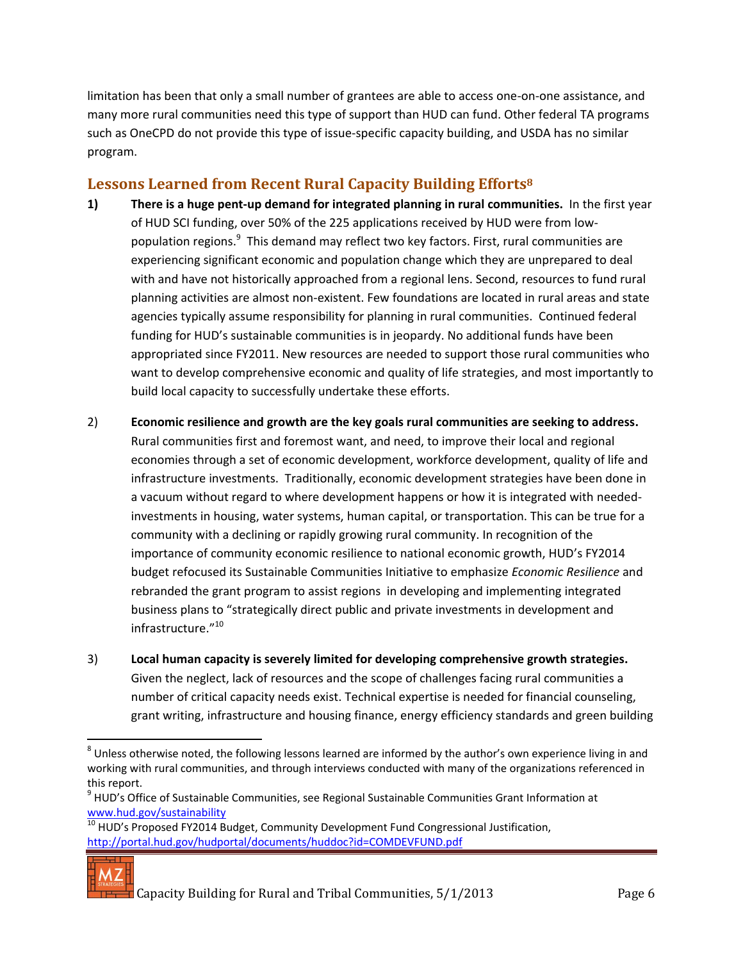limitation has been that only a small number of grantees are able to access one-on-one assistance, and many more rural communities need this type of support than HUD can fund. Other federal TA programs such as OneCPD do not provide this type of issue-specific capacity building, and USDA has no similar program.

### **Lessons Learned from Recent Rural Capacity Building Efforts<sup>8</sup>**

- **1) There is a huge pent-up demand for integrated planning in rural communities.** In the first year of HUD SCI funding, over 50% of the 225 applications received by HUD were from lowpopulation regions.<sup>9</sup> This demand may reflect two key factors. First, rural communities are experiencing significant economic and population change which they are unprepared to deal with and have not historically approached from a regional lens. Second, resources to fund rural planning activities are almost non-existent. Few foundations are located in rural areas and state agencies typically assume responsibility for planning in rural communities. Continued federal funding for HUD's sustainable communities is in jeopardy. No additional funds have been appropriated since FY2011. New resources are needed to support those rural communities who want to develop comprehensive economic and quality of life strategies, and most importantly to build local capacity to successfully undertake these efforts.
- 2) **Economic resilience and growth are the key goals rural communities are seeking to address.** Rural communities first and foremost want, and need, to improve their local and regional economies through a set of economic development, workforce development, quality of life and infrastructure investments. Traditionally, economic development strategies have been done in a vacuum without regard to where development happens or how it is integrated with neededinvestments in housing, water systems, human capital, or transportation. This can be true for a community with a declining or rapidly growing rural community. In recognition of the importance of community economic resilience to national economic growth, HUD's FY2014 budget refocused its Sustainable Communities Initiative to emphasize *Economic Resilience* and rebranded the grant program to assist regions in developing and implementing integrated business plans to "strategically direct public and private investments in development and infrastructure."<sup>10</sup>
- 3) **Local human capacity is severely limited for developing comprehensive growth strategies.** Given the neglect, lack of resources and the scope of challenges facing rural communities a number of critical capacity needs exist. Technical expertise is needed for financial counseling, grant writing, infrastructure and housing finance, energy efficiency standards and green building

 $\frac{10}{10}$  HUD's Proposed FY2014 Budget, Community Development Fund Congressional Justification, <http://portal.hud.gov/hudportal/documents/huddoc?id=COMDEVFUND.pdf>



 $\overline{\phantom{a}}$ 

 $^8$  Unless otherwise noted, the following lessons learned are informed by the author's own experience living in and working with rural communities, and through interviews conducted with many of the organizations referenced in this report.

<sup>&</sup>lt;sup>9</sup> HUD's Office of Sustainable Communities, see Regional Sustainable Communities Grant Information at [www.hud.gov/sustainability](http://www.hud.gov/sustainability)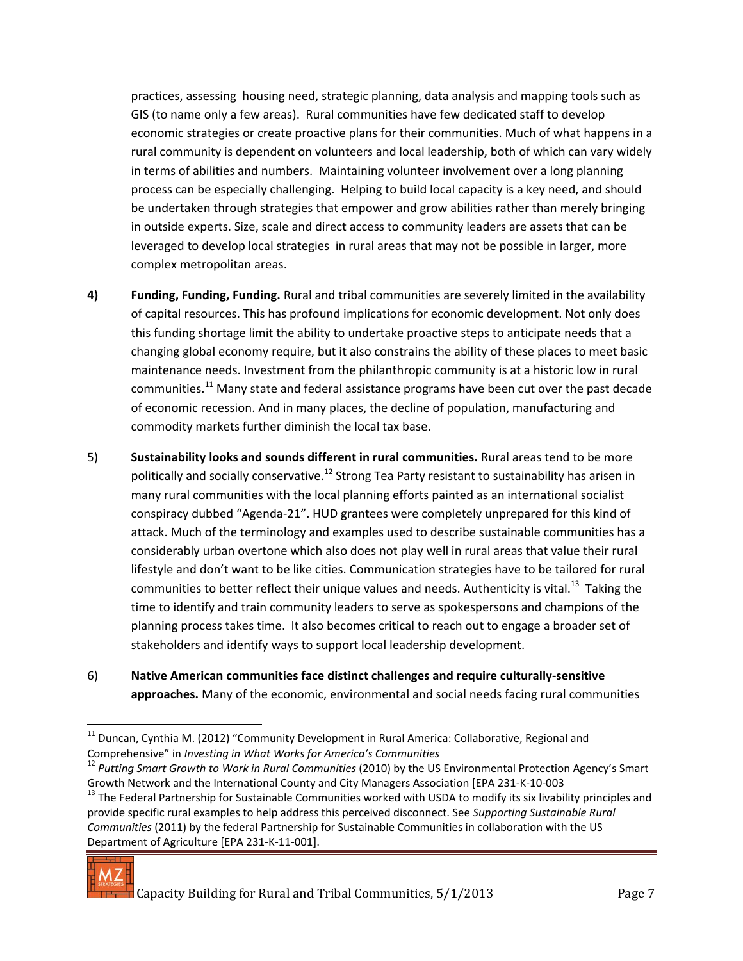practices, assessing housing need, strategic planning, data analysis and mapping tools such as GIS (to name only a few areas). Rural communities have few dedicated staff to develop economic strategies or create proactive plans for their communities. Much of what happens in a rural community is dependent on volunteers and local leadership, both of which can vary widely in terms of abilities and numbers. Maintaining volunteer involvement over a long planning process can be especially challenging. Helping to build local capacity is a key need, and should be undertaken through strategies that empower and grow abilities rather than merely bringing in outside experts. Size, scale and direct access to community leaders are assets that can be leveraged to develop local strategies in rural areas that may not be possible in larger, more complex metropolitan areas.

- **4) Funding, Funding, Funding.** Rural and tribal communities are severely limited in the availability of capital resources. This has profound implications for economic development. Not only does this funding shortage limit the ability to undertake proactive steps to anticipate needs that a changing global economy require, but it also constrains the ability of these places to meet basic maintenance needs. Investment from the philanthropic community is at a historic low in rural communities.<sup>11</sup> Many state and federal assistance programs have been cut over the past decade of economic recession. And in many places, the decline of population, manufacturing and commodity markets further diminish the local tax base.
- 5) **Sustainability looks and sounds different in rural communities.** Rural areas tend to be more politically and socially conservative.<sup>12</sup> Strong Tea Party resistant to sustainability has arisen in many rural communities with the local planning efforts painted as an international socialist conspiracy dubbed "Agenda-21". HUD grantees were completely unprepared for this kind of attack. Much of the terminology and examples used to describe sustainable communities has a considerably urban overtone which also does not play well in rural areas that value their rural lifestyle and don't want to be like cities. Communication strategies have to be tailored for rural communities to better reflect their unique values and needs. Authenticity is vital.<sup>13</sup> Taking the time to identify and train community leaders to serve as spokespersons and champions of the planning process takes time. It also becomes critical to reach out to engage a broader set of stakeholders and identify ways to support local leadership development.
- 6) **Native American communities face distinct challenges and require culturally-sensitive approaches.** Many of the economic, environmental and social needs facing rural communities

 $13$  The Federal Partnership for Sustainable Communities worked with USDA to modify its six livability principles and provide specific rural examples to help address this perceived disconnect. See *Supporting Sustainable Rural Communities* (2011) by the federal Partnership for Sustainable Communities in collaboration with the US Department of Agriculture [EPA 231-K-11-001].



 $\overline{\phantom{a}}$ 

 $11$  Duncan, Cynthia M. (2012) "Community Development in Rural America: Collaborative, Regional and Comprehensive" in *Investing in What Works for America's Communities*

<sup>12</sup> *Putting Smart Growth to Work in Rural Communities* (2010) by the US Environmental Protection Agency's Smart Growth Network and the International County and City Managers Association [EPA 231-K-10-003

 $\overline{T}$  Capacity Building for Rural and Tribal Communities, 5/1/2013 Page 7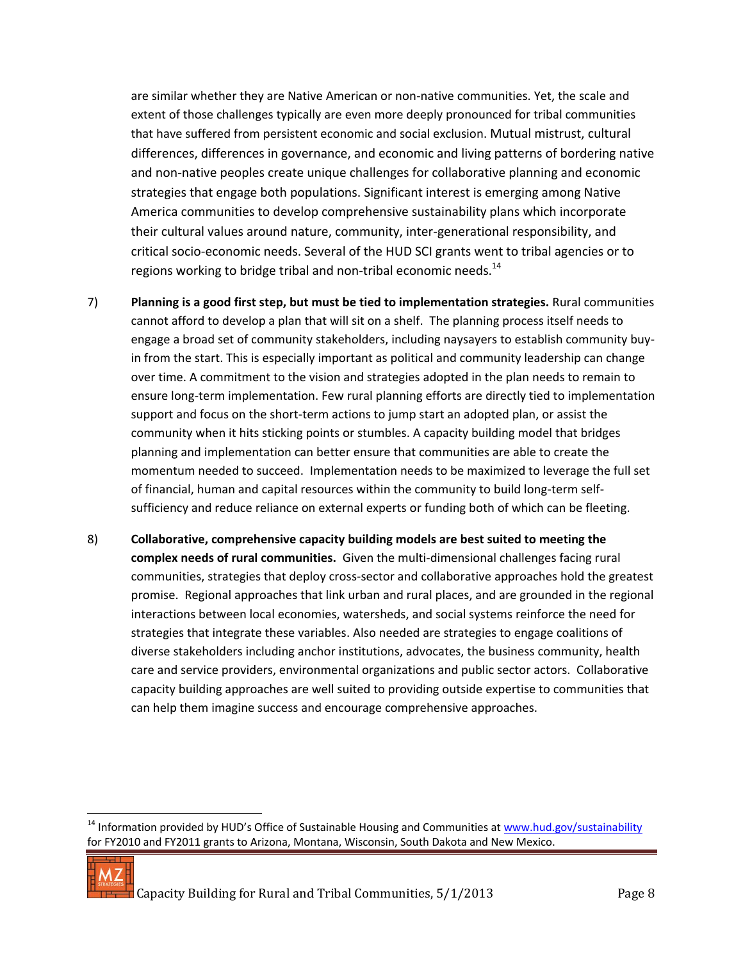are similar whether they are Native American or non-native communities. Yet, the scale and extent of those challenges typically are even more deeply pronounced for tribal communities that have suffered from persistent economic and social exclusion. Mutual mistrust, cultural differences, differences in governance, and economic and living patterns of bordering native and non-native peoples create unique challenges for collaborative planning and economic strategies that engage both populations. Significant interest is emerging among Native America communities to develop comprehensive sustainability plans which incorporate their cultural values around nature, community, inter-generational responsibility, and critical socio-economic needs. Several of the HUD SCI grants went to tribal agencies or to regions working to bridge tribal and non-tribal economic needs. $^{14}$ 

- 7) **Planning is a good first step, but must be tied to implementation strategies.** Rural communities cannot afford to develop a plan that will sit on a shelf. The planning process itself needs to engage a broad set of community stakeholders, including naysayers to establish community buyin from the start. This is especially important as political and community leadership can change over time. A commitment to the vision and strategies adopted in the plan needs to remain to ensure long-term implementation. Few rural planning efforts are directly tied to implementation support and focus on the short-term actions to jump start an adopted plan, or assist the community when it hits sticking points or stumbles. A capacity building model that bridges planning and implementation can better ensure that communities are able to create the momentum needed to succeed. Implementation needs to be maximized to leverage the full set of financial, human and capital resources within the community to build long-term selfsufficiency and reduce reliance on external experts or funding both of which can be fleeting.
- 8) **Collaborative, comprehensive capacity building models are best suited to meeting the complex needs of rural communities.** Given the multi-dimensional challenges facing rural communities, strategies that deploy cross-sector and collaborative approaches hold the greatest promise. Regional approaches that link urban and rural places, and are grounded in the regional interactions between local economies, watersheds, and social systems reinforce the need for strategies that integrate these variables. Also needed are strategies to engage coalitions of diverse stakeholders including anchor institutions, advocates, the business community, health care and service providers, environmental organizations and public sector actors. Collaborative capacity building approaches are well suited to providing outside expertise to communities that can help them imagine success and encourage comprehensive approaches.

<sup>&</sup>lt;sup>14</sup> Information provided by HUD's Office of Sustainable Housing and Communities at [www.hud.gov/sustainability](http://www.hud.gov/sustainability) for FY2010 and FY2011 grants to Arizona, Montana, Wisconsin, South Dakota and New Mexico.



 $\overline{a}$ 

 $\pm$  Capacity Building for Rural and Tribal Communities, 5/1/2013 Page 8